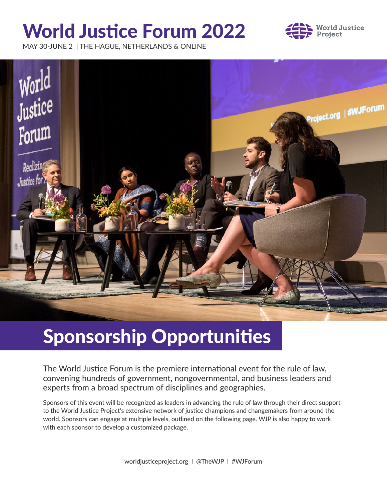# World Justice Forum 2022



MAY 30-JUNE 2 | THE HAGUE, NETHERLANDS & ONLINE



# Sponsorship Opportunities

The World Justice Forum is the premiere international event for the rule of law, convening hundreds of government, nongovernmental, and business leaders and experts from a broad spectrum of disciplines and geographies.

Sponsors of this event will be recognized as leaders in advancing the rule of law through their direct support to the World Justice Project's extensive network of justice champions and changemakers from around the world. Sponsors can engage at multiple levels, outlined on the following page. WJP is also happy to work with each sponsor to develop a customized package.